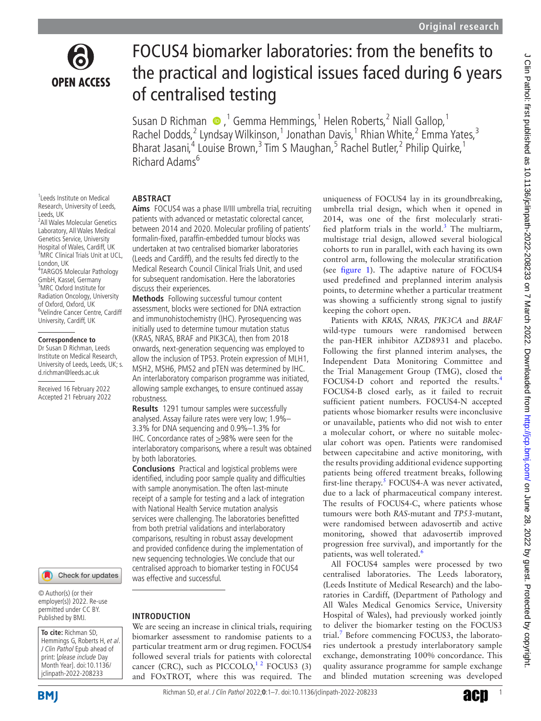

# FOCUS4 biomarker laboratories: from the benefits to the practical and logistical issues faced during 6 years of centralised testing

Susan D Richman  $\bigcirc$ , <sup>1</sup> Gemma Hemmings, <sup>1</sup> Helen Roberts, <sup>2</sup> Niall Gallop, <sup>1</sup> Rachel Dodds,<sup>2</sup> Lyndsay Wilkinson,<sup>1</sup> Jonathan Davis,<sup>1</sup> Rhian White,<sup>2</sup> Emma Yates,<sup>3</sup> Bharat Jasani,<sup>4</sup> Louise Brown,<sup>3</sup> Tim S Maughan,<sup>5</sup> Rachel Butler,<sup>2</sup> Philip Quirke,<sup>1</sup> Richard Adams<sup>6</sup>

#### 1 Leeds Institute on Medical Research, University of Leeds, Leeds, UK

<sup>2</sup> All Wales Molecular Genetics Laboratory, All Wales Medical Genetics Service, University Hospital of Wales, Cardiff, UK <sup>3</sup>MRC Clinical Trials Unit at UCL, London, UK

4 TARGOS Molecular Pathology GmbH, Kassel, Germany 5 MRC Oxford Institute for Radiation Oncology, University of Oxford, Oxford, UK 6 Velindre Cancer Centre, Cardiff University, Cardiff, UK

#### **Correspondence to**

Dr Susan D Richman, Leeds Institute on Medical Research, University of Leeds, Leeds, UK; s. d.richman@leeds.ac.uk

Received 16 February 2022 Accepted 21 February 2022

#### Check for updates

© Author(s) (or their employer(s)) 2022. Re-use permitted under CC BY. Published by BMJ.

**To cite:** Richman SD, Hemmings G, Roberts H, et al. J Clin Pathol Epub ahead of print: [please include Day Month Year]. doi:10.1136/ jclinpath-2022-208233

# **ABSTRACT**

**Aims** FOCUS4 was a phase II/III umbrella trial, recruiting patients with advanced or metastatic colorectal cancer, between 2014 and 2020. Molecular profiling of patients' formalin-fixed, paraffin-embedded tumour blocks was undertaken at two centralised biomarker laboratories (Leeds and Cardiff), and the results fed directly to the Medical Research Council Clinical Trials Unit, and used for subsequent randomisation. Here the laboratories discuss their experiences.

**Methods** Following successful tumour content assessment, blocks were sectioned for DNA extraction and immunohistochemistry (IHC). Pyrosequencing was initially used to determine tumour mutation status (KRAS, NRAS, BRAF and PIK3CA), then from 2018 onwards, next-generation sequencing was employed to allow the inclusion of TP53. Protein expression of MLH1, MSH2, MSH6, PMS2 and pTEN was determined by IHC. An interlaboratory comparison programme was initiated, allowing sample exchanges, to ensure continued assay robustness.

**Results** 1291 tumour samples were successfully analysed. Assay failure rates were very low; 1.9%– 3.3% for DNA sequencing and 0.9%–1.3% for IHC. Concordance rates of  $\geq$ 98% were seen for the interlaboratory comparisons, where a result was obtained by both laboratories.

**Conclusions** Practical and logistical problems were identified, including poor sample quality and difficulties with sample anonymisation. The often last-minute receipt of a sample for testing and a lack of integration with National Health Service mutation analysis services were challenging. The laboratories benefitted from both pretrial validations and interlaboratory comparisons, resulting in robust assay development and provided confidence during the implementation of new sequencing technologies. We conclude that our centralised approach to biomarker testing in FOCUS4 was effective and successful.

# **INTRODUCTION**

We are seeing an increase in clinical trials, requiring biomarker assessment to randomise patients to a particular treatment arm or drug regimen. FOCUS4 followed several trials for patients with colorectal cancer (CRC), such as  $\text{PICCOLO}$ ,<sup>12</sup> FOCUS3 (3) and FOxTROT, where this was required. The uniqueness of FOCUS4 lay in its groundbreaking, umbrella trial design, which when it opened in 2014, was one of the first molecularly stratified platform trials in the world. $3$  The multiarm, multistage trial design, allowed several biological cohorts to run in parallel, with each having its own control arm, following the molecular stratification (see [figure](#page-1-0) 1). The adaptive nature of FOCUS4 used predefined and preplanned interim analysis points, to determine whether a particular treatment was showing a sufficiently strong signal to justify keeping the cohort open.

Patients with *KRAS, NRAS, PIK3CA* and *BRAF* wild-type tumours were randomised between the pan-HER inhibitor AZD8931 and placebo. Following the first planned interim analyses, the Independent Data Monitoring Committee and the Trial Management Group (TMG), closed the FOCUS[4](#page-5-2)-D cohort and reported the results.<sup>4</sup> FOCUS4-B closed early, as it failed to recruit sufficient patient numbers. FOCUS4-N accepted patients whose biomarker results were inconclusive or unavailable, patients who did not wish to enter a molecular cohort, or where no suitable molecular cohort was open. Patients were randomised between capecitabine and active monitoring, with the results providing additional evidence supporting patients being offered treatment breaks, following first-line therapy. $5$  FOCUS4-A was never activated, due to a lack of pharmaceutical company interest. The results of FOCUS4-C, where patients whose tumours were both *RAS*-mutant and *TP53*-mutant, were randomised between adavosertib and active monitoring, showed that adavosertib improved progression free survival), and importantly for the patients, was well tolerated.<sup>6</sup>

All FOCUS4 samples were processed by two centralised laboratories. The Leeds laboratory, (Leeds Institute of Medical Research) and the laboratories in Cardiff, (Department of Pathology and All Wales Medical Genomics Service, University Hospital of Wales), had previously worked jointly to deliver the biomarker testing on the FOCUS3 trial.<sup>[7](#page-5-5)</sup> Before commencing FOCUS3, the laboratories undertook a prestudy interlaboratory sample exchange, demonstrating 100% concordance. This quality assurance programme for sample exchange and blinded mutation screening was developed

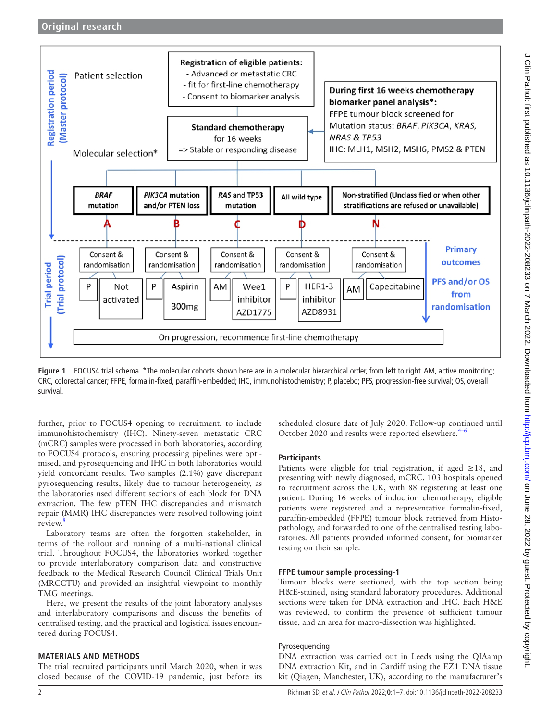

<span id="page-1-0"></span>**Figure 1** FOCUS4 trial schema. \*The molecular cohorts shown here are in a molecular hierarchical order, from left to right. AM, active monitoring; CRC, colorectal cancer; FFPE, formalin-fixed, paraffin-embedded; IHC, immunohistochemistry; P, placebo; PFS, progression-free survival; OS, overall survival.

further, prior to FOCUS4 opening to recruitment, to include immunohistochemistry (IHC). Ninety-seven metastatic CRC (mCRC) samples were processed in both laboratories, according to FOCUS4 protocols, ensuring processing pipelines were optimised, and pyrosequencing and IHC in both laboratories would yield concordant results. Two samples (2.1%) gave discrepant pyrosequencing results, likely due to tumour heterogeneity, as the laboratories used different sections of each block for DNA extraction. The few pTEN IHC discrepancies and mismatch repair (MMR) IHC discrepancies were resolved following joint review.

Laboratory teams are often the forgotten stakeholder, in terms of the rollout and running of a multi-national clinical trial. Throughout FOCUS4, the laboratories worked together to provide interlaboratory comparison data and constructive feedback to the Medical Research Council Clinical Trials Unit (MRCCTU) and provided an insightful viewpoint to monthly TMG meetings.

Here, we present the results of the joint laboratory analyses and interlaboratory comparisons and discuss the benefits of centralised testing, and the practical and logistical issues encountered during FOCUS4.

# **MATERIALS AND METHODS**

The trial recruited participants until March 2020, when it was closed because of the COVID-19 pandemic, just before its

scheduled closure date of July 2020. Follow-up continued until October 2020 and results were reported elsewhere.<sup>4-6</sup>

# **Participants**

Patients were eligible for trial registration, if aged  $\geq 18$ , and presenting with newly diagnosed, mCRC. 103 hospitals opened to recruitment across the UK, with 88 registering at least one patient. During 16 weeks of induction chemotherapy, eligible patients were registered and a representative formalin-fixed, paraffin-embedded (FFPE) tumour block retrieved from Histopathology, and forwarded to one of the centralised testing laboratories. All patients provided informed consent, for biomarker testing on their sample.

# **FFPE tumour sample processing-1**

Tumour blocks were sectioned, with the top section being H&E-stained, using standard laboratory procedures. Additional sections were taken for DNA extraction and IHC. Each H&E was reviewed, to confirm the presence of sufficient tumour tissue, and an area for macro-dissection was highlighted.

# Pyrosequencing

DNA extraction was carried out in Leeds using the QIAamp DNA extraction Kit, and in Cardiff using the EZ1 DNA tissue kit (Qiagen, Manchester, UK), according to the manufacturer's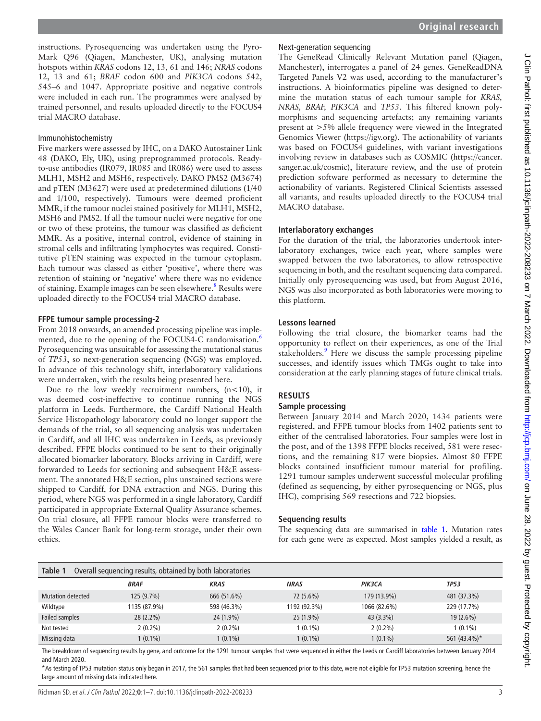instructions. Pyrosequencing was undertaken using the Pyro-Mark Q96 (Qiagen, Manchester, UK), analysing mutation hotspots within *KRAS* codons 12, 13, 61 and 146; *NRAS* codons 12, 13 and 61; *BRAF* codon 600 and *PIK3CA* codons 542, 545–6 and 1047. Appropriate positive and negative controls were included in each run. The programmes were analysed by trained personnel, and results uploaded directly to the FOCUS4 trial MACRO database.

# Immunohistochemistry

Five markers were assessed by IHC, on a DAKO Autostainer Link 48 (DAKO, Ely, UK), using preprogrammed protocols. Readyto-use antibodies (IR079, IR085 and IR086) were used to assess MLH1, MSH2 and MSH6, respectively. DAKO PMS2 (M3674) and pTEN (M3627) were used at predetermined dilutions (1/40 and 1/100, respectively). Tumours were deemed proficient MMR, if the tumour nuclei stained positively for MLH1, MSH2, MSH6 and PMS2. If all the tumour nuclei were negative for one or two of these proteins, the tumour was classified as deficient MMR. As a positive, internal control, evidence of staining in stromal cells and infiltrating lymphocytes was required. Constitutive pTEN staining was expected in the tumour cytoplasm. Each tumour was classed as either 'positive', where there was retention of staining or 'negative' where there was no evidence of staining. Example images can be seen elsewhere.<sup>[8](#page-5-6)</sup> Results were uploaded directly to the FOCUS4 trial MACRO database.

# **FFPE tumour sample processing-2**

From 2018 onwards, an amended processing pipeline was implemented, due to the opening of the FOCUS4-C randomisation.<sup>6</sup> Pyrosequencing was unsuitable for assessing the mutational status of *TP53*, so next-generation sequencing (NGS) was employed. In advance of this technology shift, interlaboratory validations were undertaken, with the results being presented here.

Due to the low weekly recruitment numbers,  $(n<10)$ , it was deemed cost-ineffective to continue running the NGS platform in Leeds. Furthermore, the Cardiff National Health Service Histopathology laboratory could no longer support the demands of the trial, so all sequencing analysis was undertaken in Cardiff, and all IHC was undertaken in Leeds, as previously described. FFPE blocks continued to be sent to their originally allocated biomarker laboratory. Blocks arriving in Cardiff, were forwarded to Leeds for sectioning and subsequent H&E assessment. The annotated H&E section, plus unstained sections were shipped to Cardiff, for DNA extraction and NGS. During this period, where NGS was performed in a single laboratory, Cardiff participated in appropriate External Quality Assurance schemes. On trial closure, all FFPE tumour blocks were transferred to the Wales Cancer Bank for long-term storage, under their own ethics.

# Next-generation sequencing

The GeneRead Clinically Relevant Mutation panel (Qiagen, Manchester), interrogates a panel of 24 genes. GeneReadDNA Targeted Panels V2 was used, according to the manufacturer's instructions. A bioinformatics pipeline was designed to determine the mutation status of each tumour sample for *KRAS, NRAS, BRAF, PIK3CA* and *TP53*. This filtered known polymorphisms and sequencing artefacts; any remaining variants present at >5% allele frequency were viewed in the Integrated Genomics Viewer ([https://igv.org\)](https://igv.org). The actionability of variants was based on FOCUS4 guidelines, with variant investigations involving review in databases such as COSMIC [\(https://cancer.](https://cancer.sanger.ac.uk/cosmic) [sanger.ac.uk/cosmic\)](https://cancer.sanger.ac.uk/cosmic), literature review, and the use of protein prediction software performed as necessary to determine the actionability of variants. Registered Clinical Scientists assessed all variants, and results uploaded directly to the FOCUS4 trial MACRO database.

# **Interlaboratory exchanges**

For the duration of the trial, the laboratories undertook interlaboratory exchanges, twice each year, where samples were swapped between the two laboratories, to allow retrospective sequencing in both, and the resultant sequencing data compared. Initially only pyrosequencing was used, but from August 2016, NGS was also incorporated as both laboratories were moving to this platform.

# **Lessons learned**

Following the trial closure, the biomarker teams had the opportunity to reflect on their experiences, as one of the Trial stakeholders.<sup>9</sup> Here we discuss the sample processing pipeline successes, and identify issues which TMGs ought to take into consideration at the early planning stages of future clinical trials.

# **RESULTS**

# **Sample processing**

Between January 2014 and March 2020, 1434 patients were registered, and FFPE tumour blocks from 1402 patients sent to either of the centralised laboratories. Four samples were lost in the post, and of the 1398 FFPE blocks received, 581 were resections, and the remaining 817 were biopsies. Almost 80 FFPE blocks contained insufficient tumour material for profiling. 1291 tumour samples underwent successful molecular profiling (defined as sequencing, by either pyrosequencing or NGS, plus IHC), comprising 569 resections and 722 biopsies.

# **Sequencing results**

The sequencing data are summarised in [table](#page-2-0) 1. Mutation rates for each gene were as expected. Most samples yielded a result, as

<span id="page-2-0"></span>

| Table 1           | Overall sequencing results, obtained by both laboratories |             |              |              |              |  |
|-------------------|-----------------------------------------------------------|-------------|--------------|--------------|--------------|--|
|                   | <b>BRAF</b>                                               | <b>KRAS</b> | NRAS         | PIK3CA       | <b>TP53</b>  |  |
| Mutation detected | 125(9.7%)                                                 | 666 (51.6%) | 72 (5.6%)    | 179 (13.9%)  | 481 (37.3%)  |  |
| Wildtype          | 1135 (87.9%)                                              | 598 (46.3%) | 1192 (92.3%) | 1066 (82.6%) | 229 (17.7%)  |  |
| Failed samples    | $28(2.2\%)$                                               | 24 (1.9%)   | $25(1.9\%)$  | 43 (3.3%)    | $19(2.6\%)$  |  |
| Not tested        | $2(0.2\%)$                                                | $2(0.2\%)$  | $1(0.1\%)$   | $2(0.2\%)$   | 1 (0.1%)     |  |
| Missing data      | $1(0.1\%)$                                                | $1(0.1\%)$  | $1(0.1\%)$   | $1(0.1\%)$   | 561 (43.4%)* |  |

The breakdown of sequencing results by gene, and outcome for the 1291 tumour samples that were sequenced in either the Leeds or Cardiff laboratories between January 2014 and March 2020.

\*As testing of TP53 mutation status only began in 2017, the 561 samples that had been sequenced prior to this date, were not eligible for TP53 mutation screening, hence the large amount of missing data indicated here.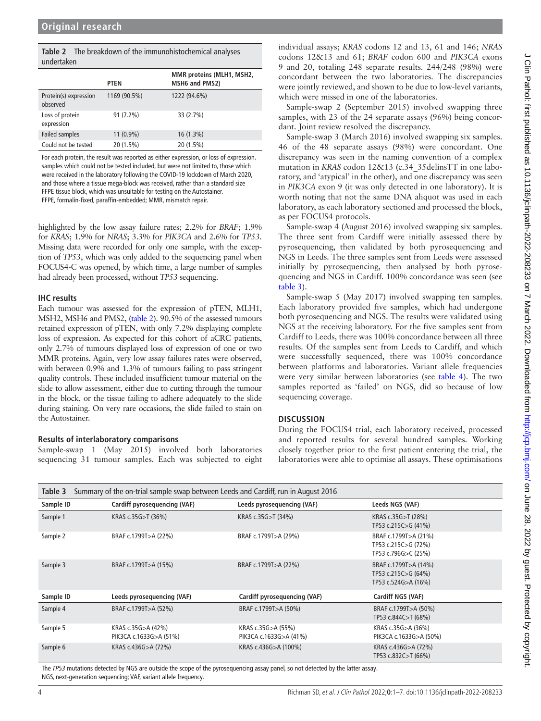<span id="page-3-0"></span>

|            | <b>Table 2</b> The breakdown of the immunohistochemical analyses |
|------------|------------------------------------------------------------------|
| undertaken |                                                                  |

|                                   | PTEN         | MMR proteins (MLH1, MSH2,<br>MSH6 and PMS2) |  |  |
|-----------------------------------|--------------|---------------------------------------------|--|--|
| Protein(s) expression<br>observed | 1169 (90.5%) | 1222 (94.6%)                                |  |  |
| Loss of protein<br>expression     | 91 (7.2%)    | 33 (2.7%)                                   |  |  |
| Failed samples                    | $11(0.9\%)$  | $16(1.3\%)$                                 |  |  |
| Could not be tested               | 20 (1.5%)    | 20 (1.5%)                                   |  |  |

For each protein, the result was reported as either expression, or loss of expression. samples which could not be tested included, but were not limited to, those which were received in the laboratory following the COVID-19 lockdown of March 2020, and those where a tissue mega-block was received, rather than a standard size FFPE tissue block, which was unsuitable for testing on the Autostainer. FFPE, formalin-fixed, paraffin-embedded; MMR, mismatch repair.

highlighted by the low assay failure rates; 2.2% for *BRAF*; 1.9% for *KRAS*; 1.9% for *NRAS*; 3.3% for *PIK3CA* and 2.6% for *TP53*. Missing data were recorded for only one sample, with the exception of *TP53*, which was only added to the sequencing panel when FOCUS4-C was opened, by which time, a large number of samples had already been processed, without *TP53* sequencing.

## **IHC results**

Each tumour was assessed for the expression of pTEN, MLH1, MSH2, MSH6 and PMS2, [\(table](#page-3-0) 2). 90.5% of the assessed tumours retained expression of pTEN, with only 7.2% displaying complete loss of expression. As expected for this cohort of aCRC patients, only 2.7% of tumours displayed loss of expression of one or two MMR proteins. Again, very low assay failures rates were observed, with between 0.9% and 1.3% of tumours failing to pass stringent quality controls. These included insufficient tumour material on the slide to allow assessment, either due to cutting through the tumour in the block, or the tissue failing to adhere adequately to the slide during staining. On very rare occasions, the slide failed to stain on the Autostainer.

# **Results of interlaboratory comparisons**

Sample-swap 1 (May 2015) involved both laboratories sequencing 31 tumour samples. Each was subjected to eight

individual assays; *KRAS* codons 12 and 13, 61 and 146; *NRAS* codons 12&13 and 61; *BRAF* codon 600 and *PIK3CA* exons 9 and 20, totaling 248 separate results. 244/248 (98%) were concordant between the two laboratories. The discrepancies were jointly reviewed, and shown to be due to low-level variants, which were missed in one of the laboratories.

Sample-swap 2 (September 2015) involved swapping three samples, with 23 of the 24 separate assays (96%) being concordant. Joint review resolved the discrepancy.

Sample-swap 3 (March 2016) involved swapping six samples. 46 of the 48 separate assays (98%) were concordant. One discrepancy was seen in the naming convention of a complex mutation in *KRAS* codon 12&13 (c.34\_35delinsTT in one laboratory, and 'atypical' in the other), and one discrepancy was seen in *PIK3CA* exon 9 (it was only detected in one laboratory). It is worth noting that not the same DNA aliquot was used in each laboratory, as each laboratory sectioned and processed the block, as per FOCUS4 protocols.

Sample-swap 4 (August 2016) involved swapping six samples. The three sent from Cardiff were initially assessed there by pyrosequencing, then validated by both pyrosequencing and NGS in Leeds. The three samples sent from Leeds were assessed initially by pyrosequencing, then analysed by both pyrosequencing and NGS in Cardiff. 100% concordance was seen (see [table](#page-3-1) 3).

Sample-swap 5 (May 2017) involved swapping ten samples. Each laboratory provided five samples, which had undergone both pyrosequencing and NGS. The results were validated using NGS at the receiving laboratory. For the five samples sent from Cardiff to Leeds, there was 100% concordance between all three results. Of the samples sent from Leeds to Cardiff, and which were successfully sequenced, there was 100% concordance between platforms and laboratories. Variant allele frequencies were very similar between laboratories (see [table](#page-4-0) 4). The two samples reported as 'failed' on NGS, did so because of low sequencing coverage.

# **DISCUSSION**

During the FOCUS4 trial, each laboratory received, processed and reported results for several hundred samples. Working closely together prior to the first patient entering the trial, the laboratories were able to optimise all assays. These optimisations

<span id="page-3-1"></span>

| Table 3   | Summary of the on-trial sample swap between Leeds and Cardiff, run in August 2016 |                                              |                                                                    |  |  |
|-----------|-----------------------------------------------------------------------------------|----------------------------------------------|--------------------------------------------------------------------|--|--|
| Sample ID | Cardiff pyrosequencing (VAF)                                                      | Leeds pyrosequencing (VAF)                   | Leeds NGS (VAF)                                                    |  |  |
| Sample 1  | KRAS c.35G>T (36%)                                                                | KRAS c.35G>T (34%)                           | KRAS c.35G>T (28%)<br>TP53 c.215C>G (41%)                          |  |  |
| Sample 2  | BRAF c.1799T>A (22%)                                                              | BRAF c.1799T>A (29%)                         | BRAF c.1799T>A (21%)<br>TP53 c.215C>G (72%)<br>TP53 c.796G>C (25%) |  |  |
| Sample 3  | BRAF c.1799T>A (15%)                                                              | BRAF c.1799T>A (22%)                         | BRAF c.1799T>A (14%)<br>TP53 c.215C>G (64%)<br>TP53 c.524G>A (16%) |  |  |
| Sample ID | Leeds pyrosequencing (VAF)                                                        | Cardiff pyrosequencing (VAF)                 | Cardiff NGS (VAF)                                                  |  |  |
| Sample 4  | BRAF c.1799T>A (52%)                                                              | BRAF c.1799T>A (50%)                         | BRAF c.1799T>A (50%)<br>TP53 c.844C>T (68%)                        |  |  |
| Sample 5  | KRAS c.35G>A (42%)<br>PIK3CA c.1633G>A (51%)                                      | KRAS c.35G>A (55%)<br>PIK3CA c.1633G>A (41%) | KRAS c.35G>A (36%)<br>PIK3CA c.1633G>A (50%)                       |  |  |
| Sample 6  | KRAS c.436G>A (72%)                                                               | KRAS c.436G>A (100%)                         | KRAS c.436G>A (72%)<br>TP53 c.832C>T (66%)                         |  |  |

The *TP53* mutations detected by NGS are outside the scope of the pyrosequencing assay panel, so not detected by the latter assay. NGS, next-generation sequencing; VAF, variant allele frequency.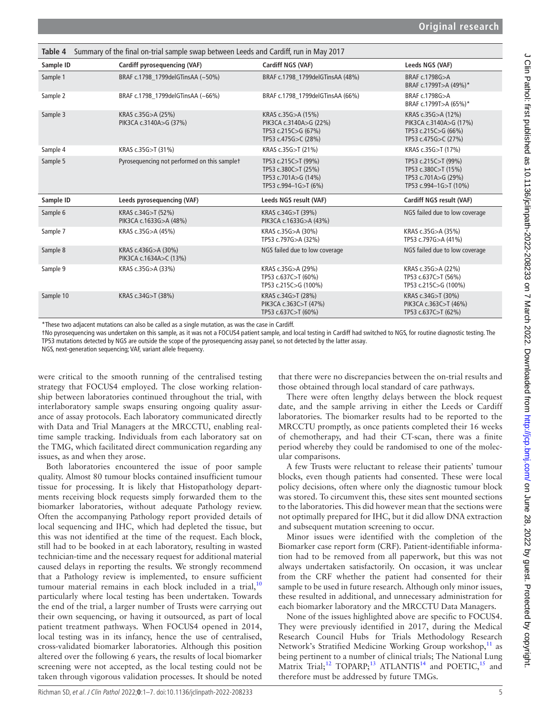<span id="page-4-0"></span>

| Summary of the final on-trial sample swap between Leeds and Cardiff, run in May 2017<br>Table 4 |                                               |                                                                                            |                                                                                            |  |
|-------------------------------------------------------------------------------------------------|-----------------------------------------------|--------------------------------------------------------------------------------------------|--------------------------------------------------------------------------------------------|--|
| Sample ID                                                                                       | Cardiff pyrosequencing (VAF)                  | Cardiff NGS (VAF)                                                                          | Leeds NGS (VAF)                                                                            |  |
| Sample 1                                                                                        | BRAF c.1798 1799delGTinsAA (~50%)             | BRAF c.1798 1799delGTinsAA (48%)                                                           | BRAF c.1798G>A<br>BRAF c.1799T>A (49%)*                                                    |  |
| Sample 2                                                                                        | BRAF c.1798 1799delGTinsAA (~66%)             | BRAF c.1798 1799delGTinsAA (66%)                                                           | BRAF c.1798G>A<br>BRAF c.1799T>A (65%)*                                                    |  |
| Sample 3                                                                                        | KRAS c.35G>A (25%)<br>PIK3CA c.3140A>G (37%)  | KRAS c.35G>A (15%)<br>PIK3CA c.3140A>G (22%)<br>TP53 c.215C>G (67%)<br>TP53 c.475G>C (28%) | KRAS c.35G>A (12%)<br>PIK3CA c.3140A>G (17%)<br>TP53 c.215C>G (66%)<br>TP53 c.475G>C (27%) |  |
| Sample 4                                                                                        | KRAS c.35G>T (31%)                            | KRAS c.35G>T (21%)                                                                         | KRAS c.35G>T (17%)                                                                         |  |
| Sample 5                                                                                        | Pyrosequencing not performed on this samplet  | TP53 c.215C>T (99%)<br>TP53 c.380C>T (25%)<br>TP53 c.701A>G (14%)<br>TP53 c.994-1G>T (6%)  | TP53 c.215C>T (99%)<br>TP53 c.380C>T (15%)<br>TP53 c.701A>G (29%)<br>TP53 c.994-1G>T (10%) |  |
| Sample ID                                                                                       | Leeds pyrosequencing (VAF)                    | Leeds NGS result (VAF)                                                                     | Cardiff NGS result (VAF)                                                                   |  |
| Sample 6                                                                                        | KRAS c.34G>T (52%)<br>PIK3CA c.1633G>A (48%)  | KRAS c.34G>T (39%)<br>PIK3CA c.1633G>A (43%)                                               | NGS failed due to low coverage                                                             |  |
| Sample 7                                                                                        | KRAS c.35G>A (45%)                            | KRAS c.35G>A (30%)<br>TP53 c.797G>A (32%)                                                  | KRAS c.35G>A (35%)<br>TP53 c.797G>A (41%)                                                  |  |
| Sample 8                                                                                        | KRAS c.436G>A (30%)<br>PIK3CA c.1634A>C (13%) | NGS failed due to low coverage                                                             | NGS failed due to low coverage                                                             |  |
| Sample 9                                                                                        | KRAS c.35G>A (33%)                            | KRAS c.35G>A (29%)<br>TP53 c.637C>T (60%)<br>TP53 c.215C>G (100%)                          | KRAS c.35G>A (22%)<br>TP53 c.637C>T (56%)<br>TP53 c.215C>G (100%)                          |  |
| Sample 10                                                                                       | KRAS c.34G>T (38%)                            | KRAS c.34G>T (28%)<br>PIK3CA c.363C>T (47%)<br>TP53 c.637C>T (60%)                         | KRAS c.34G>T (30%)<br>PIK3CA c.363C>T (46%)<br>TP53 c.637C>T (62%)                         |  |

\*These two adjacent mutations can also be called as a single mutation, as was the case in Cardiff.

†No pyrosequencing was undertaken on this sample, as it was not a FOCUS4 patient sample, and local testing in Cardiff had switched to NGS, for routine diagnostic testing. The TP53 mutations detected by NGS are outside the scope of the pyrosequencing assay panel, so not detected by the latter assay.

NGS, next-generation sequencing; VAF, variant allele frequency.

were critical to the smooth running of the centralised testing strategy that FOCUS4 employed. The close working relationship between laboratories continued throughout the trial, with interlaboratory sample swaps ensuring ongoing quality assurance of assay protocols. Each laboratory communicated directly with Data and Trial Managers at the MRCCTU, enabling realtime sample tracking. Individuals from each laboratory sat on the TMG, which facilitated direct communication regarding any issues, as and when they arose.

Both laboratories encountered the issue of poor sample quality. Almost 80 tumour blocks contained insufficient tumour tissue for processing. It is likely that Histopathology departments receiving block requests simply forwarded them to the biomarker laboratories, without adequate Pathology review. Often the accompanying Pathology report provided details of local sequencing and IHC, which had depleted the tissue, but this was not identified at the time of the request. Each block, still had to be booked in at each laboratory, resulting in wasted technician-time and the necessary request for additional material caused delays in reporting the results. We strongly recommend that a Pathology review is implemented, to ensure sufficient tumour material remains in each block included in a trial,  $10$ particularly where local testing has been undertaken. Towards the end of the trial, a larger number of Trusts were carrying out their own sequencing, or having it outsourced, as part of local patient treatment pathways. When FOCUS4 opened in 2014, local testing was in its infancy, hence the use of centralised, cross-validated biomarker laboratories. Although this position altered over the following 6 years, the results of local biomarker screening were not accepted, as the local testing could not be taken through vigorous validation processes. It should be noted

that there were no discrepancies between the on-trial results and those obtained through local standard of care pathways.

There were often lengthy delays between the block request date, and the sample arriving in either the Leeds or Cardiff laboratories. The biomarker results had to be reported to the MRCCTU promptly, as once patients completed their 16 weeks of chemotherapy, and had their CT-scan, there was a finite period whereby they could be randomised to one of the molecular comparisons.

A few Trusts were reluctant to release their patients' tumour blocks, even though patients had consented. These were local policy decisions, often where only the diagnostic tumour block was stored. To circumvent this, these sites sent mounted sections to the laboratories. This did however mean that the sections were not optimally prepared for IHC, but it did allow DNA extraction and subsequent mutation screening to occur.

Minor issues were identified with the completion of the Biomarker case report form (CRF). Patient-identifiable information had to be removed from all paperwork, but this was not always undertaken satisfactorily. On occasion, it was unclear from the CRF whether the patient had consented for their sample to be used in future research. Although only minor issues, these resulted in additional, and unnecessary administration for each biomarker laboratory and the MRCCTU Data Managers.

None of the issues highlighted above are specific to FOCUS4. They were previously identified in 2017, during the Medical Research Council Hubs for Trials Methodology Research Network's Stratified Medicine Working Group workshop,<sup>[11](#page-6-0)</sup> as being pertinent to a number of clinical trials; The National Lung Matrix Trial;<sup>[12](#page-6-1)</sup> TOPARP;<sup>13</sup> ATLANTIS<sup>14</sup> and POETIC,<sup>15</sup> and therefore must be addressed by future TMGs.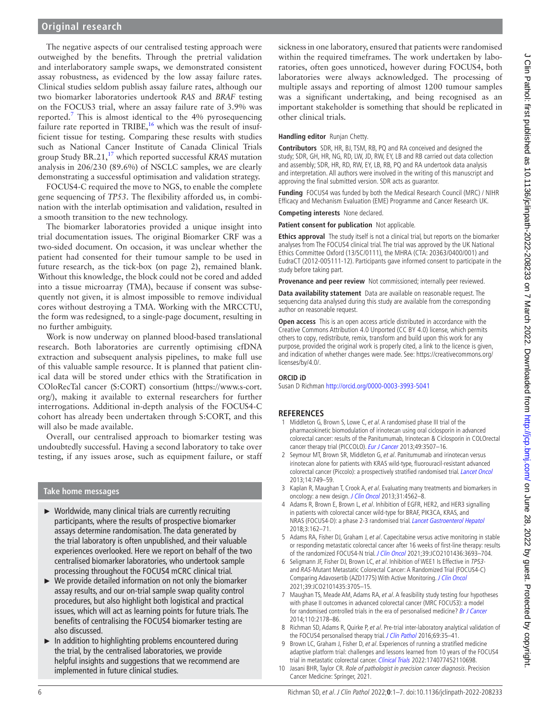The negative aspects of our centralised testing approach were outweighed by the benefits. Through the pretrial validation and interlaboratory sample swaps, we demonstrated consistent assay robustness, as evidenced by the low assay failure rates. Clinical studies seldom publish assay failure rates, although our two biomarker laboratories undertook *RAS* and *BRAF* testing on the FOCUS3 trial, where an assay failure rate of 3.9% was reported.<sup>[7](#page-5-5)</sup> This is almost identical to the  $4%$  pyrosequencing failure rate reported in TRIBE,<sup>16</sup> which was the result of insufficient tissue for testing. Comparing these results with studies such as National Cancer Institute of Canada Clinical Trials group Study BR.21,[17](#page-6-6) which reported successful *KRAS* mutation analysis in 206/230 (89.6%) of NSCLC samples, we are clearly demonstrating a successful optimisation and validation strategy.

FOCUS4-C required the move to NGS, to enable the complete gene sequencing of *TP53*. The flexibility afforded us, in combination with the interlab optimisation and validation, resulted in a smooth transition to the new technology.

The biomarker laboratories provided a unique insight into trial documentation issues. The original Biomarker CRF was a two-sided document. On occasion, it was unclear whether the patient had consented for their tumour sample to be used in future research, as the tick-box (on page 2), remained blank. Without this knowledge, the block could not be cored and added into a tissue microarray (TMA), because if consent was subsequently not given, it is almost impossible to remove individual cores without destroying a TMA. Working with the MRCCTU, the form was redesigned, to a single-page document, resulting in no further ambiguity.

Work is now underway on planned blood-based translational research. Both laboratories are currently optimising cfDNA extraction and subsequent analysis pipelines, to make full use of this valuable sample resource. It is planned that patient clinical data will be stored under ethics with the Stratification in COloRecTal cancer (S:CORT) consortium [\(https://www.s-cort.](https://www.s-cort.org/) [org/](https://www.s-cort.org/)), making it available to external researchers for further interrogations. Additional in-depth analysis of the FOCUS4-C cohort has already been undertaken through S:CORT, and this will also be made available.

Overall, our centralised approach to biomarker testing was undoubtedly successful. Having a second laboratory to take over testing, if any issues arose, such as equipment failure, or staff

## **Take home messages**

- ► Worldwide, many clinical trials are currently recruiting participants, where the results of prospective biomarker assays determine randomisation. The data generated by the trial laboratory is often unpublished, and their valuable experiences overlooked. Here we report on behalf of the two centralised biomarker laboratories, who undertook sample processing throughout the FOCUS4 mCRC clinical trial.
- $\triangleright$  We provide detailed information on not only the biomarker assay results, and our on-trial sample swap quality control procedures, but also highlight both logistical and practical issues, which will act as learning points for future trials. The benefits of centralising the FOCUS4 biomarker testing are also discussed.
- In addition to highlighting problems encountered during the trial, by the centralised laboratories, we provide helpful insights and suggestions that we recommend are implemented in future clinical studies.

sickness in one laboratory, ensured that patients were randomised within the required timeframes. The work undertaken by laboratories, often goes unnoticed, however during FOCUS4, both laboratories were always acknowledged. The processing of multiple assays and reporting of almost 1200 tumour samples was a significant undertaking, and being recognised as an important stakeholder is something that should be replicated in other clinical trials.

## **Handling editor** Runjan Chetty.

**Contributors** SDR, HR, BJ, TSM, RB, PQ and RA conceived and designed the study; SDR, GH, HR, NG, RD, LW, JD, RW, EY, LB and RB carried out data collection and assembly; SDR, HR, RD, RW, EY, LB, RB, PQ and RA undertook data analysis and interpretation. All authors were involved in the writing of this manuscript and approving the final submitted version. SDR acts as guarantor.

**Funding** FOCUS4 was funded by both the Medical Research Council (MRC) / NIHR Efficacy and Mechanism Evaluation (EME) Programme and Cancer Research UK.

**Competing interests** None declared.

**Patient consent for publication** Not applicable.

**Ethics approval** The study itself is not a clinical trial, but reports on the biomarker analyses from The FOCUS4 clinical trial. The trial was approved by the UK National Ethics Committee Oxford (13/SC/0111), the MHRA (CTA: 20363/0400/001) and EudraCT (2012-005111-12). Participants gave informed consent to participate in the study before taking part.

**Provenance and peer review** Not commissioned; internally peer reviewed.

**Data availability statement** Data are available on reasonable request. The sequencing data analysed during this study are available from the corresponding author on reasonable request.

**Open access** This is an open access article distributed in accordance with the Creative Commons Attribution 4.0 Unported (CC BY 4.0) license, which permits others to copy, redistribute, remix, transform and build upon this work for any purpose, provided the original work is properly cited, a link to the licence is given, and indication of whether changes were made. See: [https://creativecommons.org/](https://creativecommons.org/licenses/by/4.0/) [licenses/by/4.0/.](https://creativecommons.org/licenses/by/4.0/)

### **ORCID iD**

Susan D Richman<http://orcid.org/0000-0003-3993-5041>

# **REFERENCES**

- <span id="page-5-0"></span>1 Middleton G, Brown S, Lowe C, et al. A randomised phase III trial of the pharmacokinetic biomodulation of irinotecan using oral ciclosporin in advanced colorectal cancer: results of the Panitumumab, Irinotecan & Ciclosporin in COLOrectal cancer therapy trial (PICCOLO). [Eur J Cancer](http://dx.doi.org/10.1016/j.ejca.2013.06.017) 2013;49:3507-16.
- 2 Seymour MT, Brown SR, Middleton G, et al. Panitumumab and irinotecan versus irinotecan alone for patients with KRAS wild-type, fluorouracil-resistant advanced colorectal cancer (Piccolo): a prospectively stratified randomised trial. [Lancet Oncol](http://dx.doi.org/10.1016/S1470-2045(13)70163-3) 2013;14:749–59.
- <span id="page-5-1"></span>3 Kaplan R, Maughan T, Crook A, et al. Evaluating many treatments and biomarkers in oncology: a new design. [J Clin Oncol](http://dx.doi.org/10.1200/JCO.2013.50.7905) 2013;31:4562-8.
- <span id="page-5-2"></span>4 Adams R, Brown E, Brown L, et al. Inhibition of EGFR, HER2, and HER3 signalling in patients with colorectal cancer wild-type for BRAF, PIK3CA, KRAS, and NRAS (FOCUS4-D): a phase 2-3 randomised trial. [Lancet Gastroenterol Hepatol](http://dx.doi.org/10.1016/S2468-1253(17)30394-1) 2018;3:162–71.
- <span id="page-5-3"></span>5 Adams RA, Fisher DJ, Graham J, et al. Capecitabine versus active monitoring in stable or responding metastatic colorectal cancer after 16 weeks of first-line therapy: results of the randomized FOCUS4-N trial. [J Clin Oncol](http://dx.doi.org/10.1200/JCO.21.01436) 2021;39:JCO2101436:3693-704.
- <span id="page-5-4"></span>6 Seligmann JF, Fisher DJ, Brown LC, et al. Inhibition of WEE1 Is Effective in TP53 and RAS-Mutant Metastatic Colorectal Cancer: A Randomized Trial (FOCUS4-C) Comparing Adavosertib (AZD1775) With Active Monitoring. [J Clin Oncol](http://dx.doi.org/10.1200/JCO.21.01435) 2021;39:JCO2101435:3705–15.
- <span id="page-5-5"></span>7 Maughan TS, Meade AM, Adams RA, et al. A feasibility study testing four hypotheses with phase II outcomes in advanced colorectal cancer (MRC FOCUS3): a model for randomised controlled trials in the era of personalised medicine? [Br J Cancer](http://dx.doi.org/10.1038/bjc.2014.182) 2014;110:2178–86.
- <span id="page-5-6"></span>8 Richman SD, Adams R, Quirke P, et al. Pre-trial inter-laboratory analytical validation of the FOCUS4 personalised therapy trial. [J Clin Pathol](http://dx.doi.org/10.1136/jclinpath-2015-203097) 2016;69:35-41.
- <span id="page-5-7"></span>9 Brown LC, Graham J, Fisher D, et al. Experiences of running a stratified medicine adaptive platform trial: challenges and lessons learned from 10 years of the FOCUS4 trial in metastatic colorectal cancer. [Clinical Trials](http://dx.doi.org/10.1177/17407745211069879) 2022:174077452110698.
- <span id="page-5-8"></span>10 Jasani BHR, Taylor CR. Role of pathologist in precision cancer diagnosis. Precision Cancer Medicine: Springer, 2021.